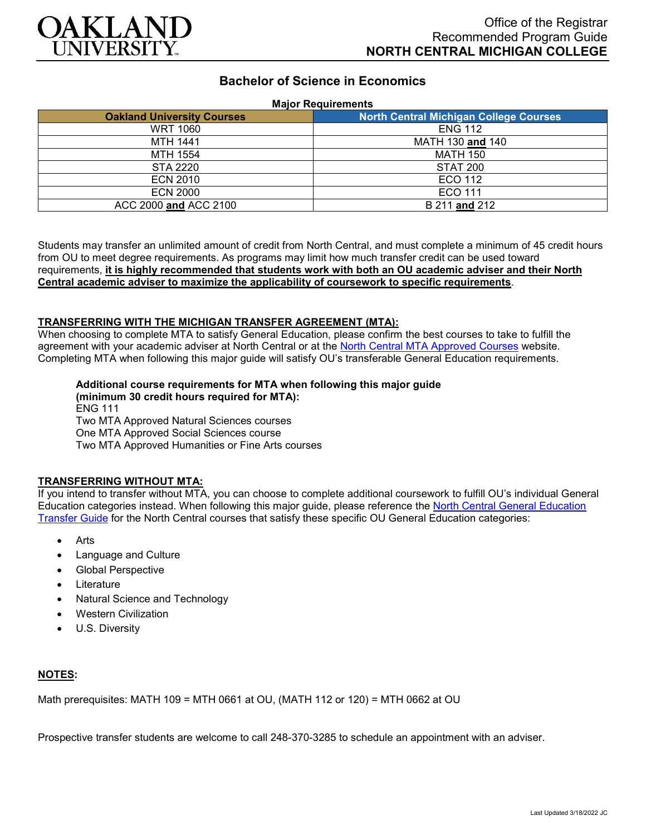

# **Bachelor of Science in Economics**

### **Major Requirements**

| <b>Oakland University Courses</b> | <b>North Central Michigan College Courses</b> |
|-----------------------------------|-----------------------------------------------|
| <b>WRT 1060</b>                   | <b>ENG 112</b>                                |
| <b>MTH 1441</b>                   | MATH 130 and 140                              |
| MTH 1554                          | <b>MATH 150</b>                               |
| STA 2220                          | STAT 200                                      |
| ECN 2010                          | ECO 112                                       |
| <b>ECN 2000</b>                   | ECO 111                                       |
| ACC 2000 and ACC 2100             | B 211 and 212                                 |

Students may transfer an unlimited amount of credit from North Central, and must complete a minimum of 45 credit hours from OU to meet degree requirements. As programs may limit how much transfer credit can be used toward requirements, **it is highly recommended that students work with both an OU academic adviser and their North Central academic adviser to maximize the applicability of coursework to specific requirements**.

### **TRANSFERRING WITH THE MICHIGAN TRANSFER AGREEMENT (MTA):**

When choosing to complete MTA to satisfy General Education, please confirm the best courses to take to fulfill the agreement with your academic adviser at North Central or at the [North Central MTA Approved Courses](https://www.ncmich.edu/admissions/transfer-information/michigan-transfer-agreement-mta.html) website. Completing MTA when following this major guide will satisfy OU's transferable General Education requirements.

### **Additional course requirements for MTA when following this major guide**

**(minimum 30 credit hours required for MTA):** ENG 111 Two MTA Approved Natural Sciences courses One MTA Approved Social Sciences course Two MTA Approved Humanities or Fine Arts courses

#### **TRANSFERRING WITHOUT MTA:**

If you intend to transfer without MTA, you can choose to complete additional coursework to fulfill OU's individual General Education categories instead. When following this major guide, please reference the [North Central General Education](https://www.oakland.edu/Assets/Oakland/program-guides/north-central-michigan-college/university-general-education-requirements/North%20Central%20Michigan%20Gen%20Ed.pdf)  [Transfer Guide](https://www.oakland.edu/Assets/Oakland/program-guides/north-central-michigan-college/university-general-education-requirements/North%20Central%20Michigan%20Gen%20Ed.pdf) for the North Central courses that satisfy these specific OU General Education categories:

- **Arts**
- Language and Culture
- Global Perspective
- **Literature**
- Natural Science and Technology
- Western Civilization
- U.S. Diversity

### **NOTES:**

Math prerequisites: MATH 109 = MTH 0661 at OU, (MATH 112 or 120) = MTH 0662 at OU

Prospective transfer students are welcome to call 248-370-3285 to schedule an appointment with an adviser.